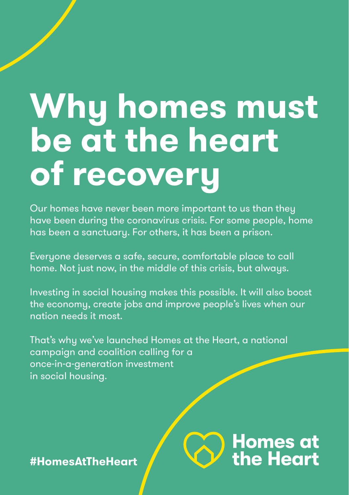# Why homes must **be at the heart of recovery**

Our homes have never been more important to us than they have been during the coronavirus crisis. For some people, home has been a sanctuary. For others, it has been a prison.

Everyone deserves a safe, secure, comfortable place to call home. Not just now, in the middle of this crisis, but alwaus.

Investing in social housing makes this possible. It will also boost the economy, create jobs and improve people's lives when our nation needs it most.

**Homes at<br>the Heart** 

That's why we've launched Homes at the Heart, a national campaign and coalition calling for a once-in-a-generation investment in social housing.

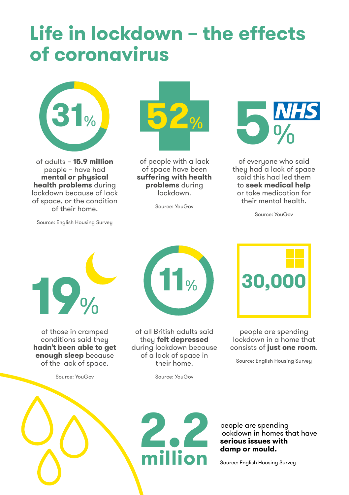### **Life in lockdown – the effects of coronavirus**



of adults – **15.9 million** people – have had **mental or physical health problems** during lockdown because of lack of space, or the condition of their home.

Source: English Housing Survey



of people with a lack of space have been **suffering with health problems** during lockdown.

Source: YouGov



of everyone who said they had a lack of space said this had led them to **seek medical help** or take medication for their mental health.

Source: YouGov



of those in cramped conditions said they **hadn't been able to get enough sleep** because of the lack of space.

Source: YouGov



of all British adults said they **felt depressed** during lockdown because of a lack of space in their home.

Source: YouGov



people are spending lockdown in a home that consists of **just one room**.

Source: English Housing Survey





people are spending lockdown in homes that have **serious issues with damp or mould.**

Source: English Housing Survey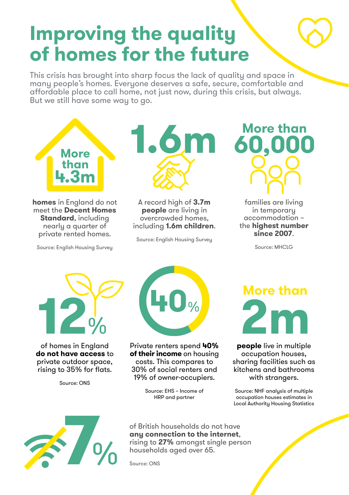## **Improving the quality of homes for the future**

This crisis has brought into sharp focus the lack of quality and space in many people's homes. Everyone deserves a safe, secure, comfortable and affordable place to call home, not just now, during this crisis, but always. But we still have some way to go.



**homes** in England do not meet the **Decent Homes Standard**, including nearly a quarter of private rented homes.

Source: English Housing Survey



A record high of **3.7m people** are living in overcrowded homes, including **1.6m children**.

Source: English Housing Survey



families are living in temporary accommodation – the **highest number since 2007**.

Source: MHCLG



of homes in England **do not have access** to private outdoor space, rising to 35% for flats.

Source: ONS



Private renters spend **40% of their income** on housing costs. This compares to 30% of social renters and 19% of owner-occupiers.

> Source: EHS – Income of HRP and partner



**people** live in multiple occupation houses, sharing facilities such as kitchens and bathrooms with strangers.

Source: NHF analysis of multiple occupation houses estimates in Local Authority Housing Statistics



of British households do not have **any connection to the internet**, rising to **27%** amongst single person households aged over 65.

Source: ONS